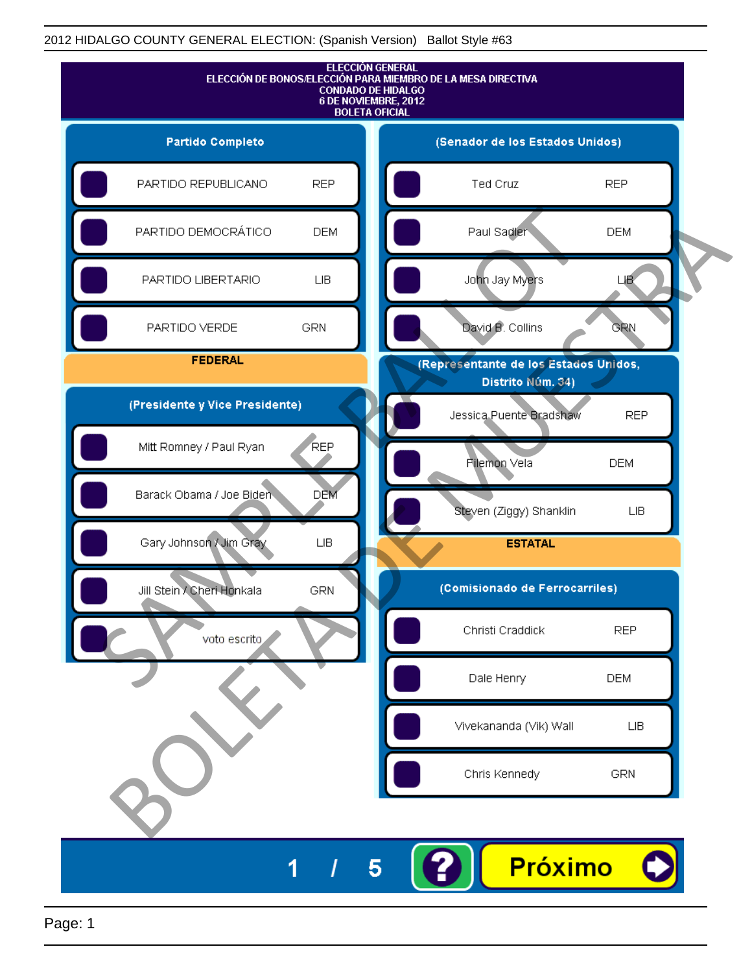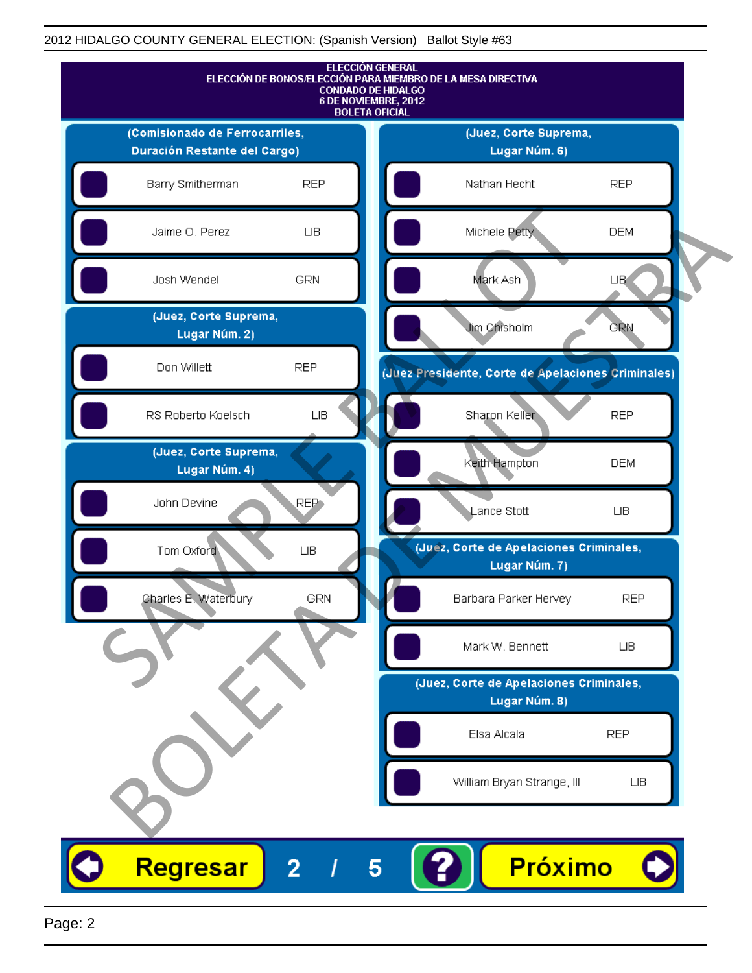

Page: 2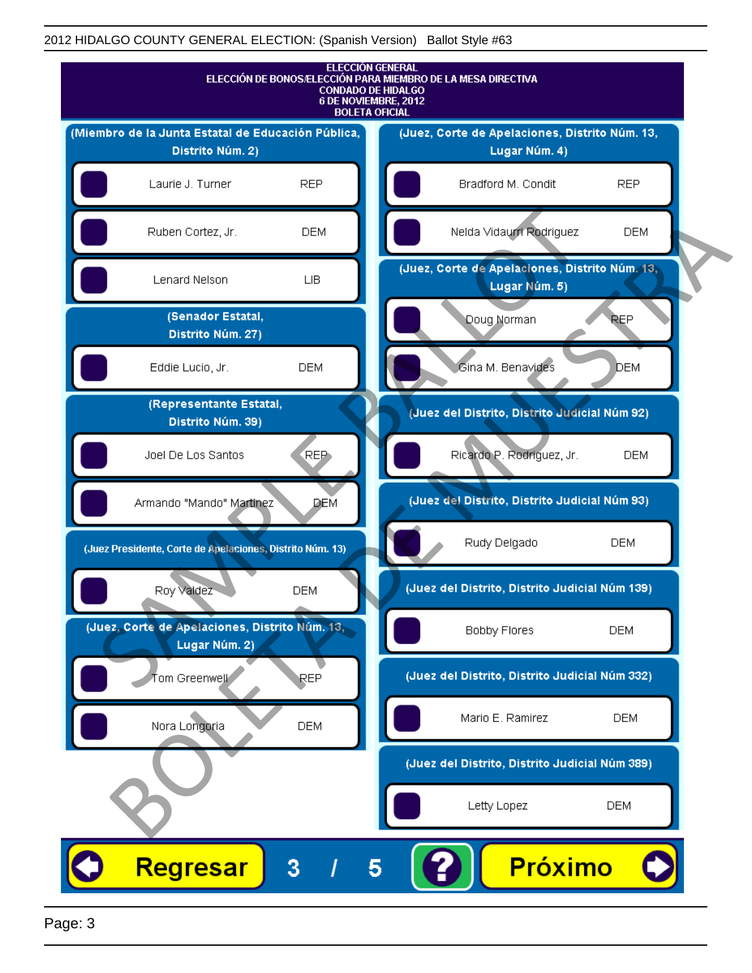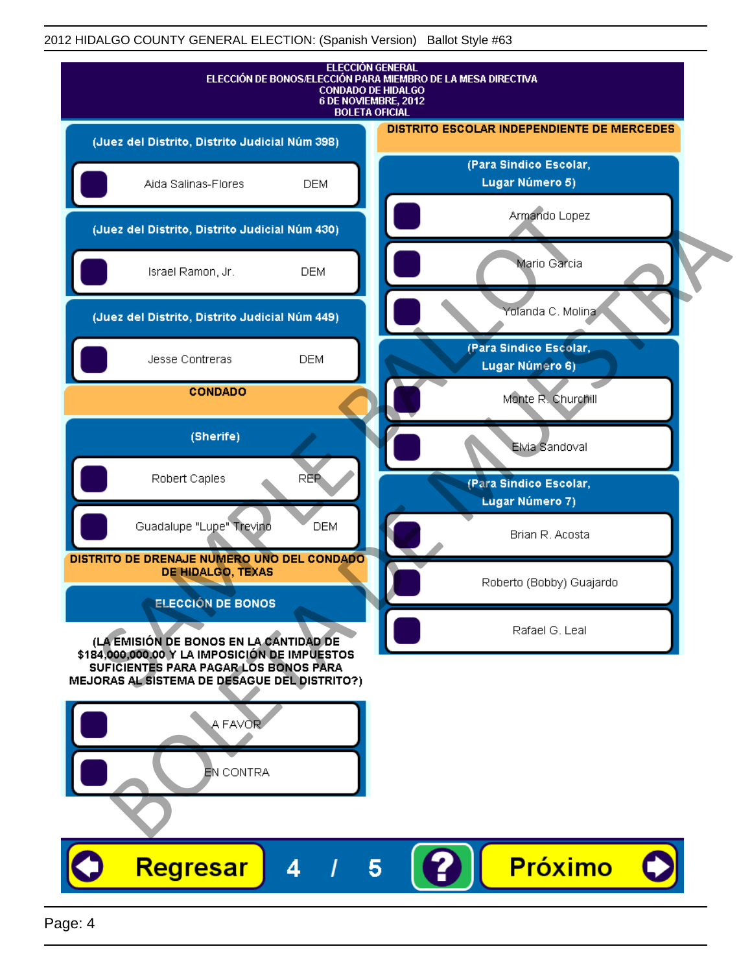| <b>ELECCIÓN GENERAL</b><br>ELECCIÓN DE BONOS/ELECCIÓN PARA MIEMBRO DE LA MESA DIRECTIVA<br><b>CONDADO DE HIDALGO</b><br>6 DE NOVIEMBRE, 2012<br><b>BOLETA OFICIAL</b> |                                            |
|-----------------------------------------------------------------------------------------------------------------------------------------------------------------------|--------------------------------------------|
| (Juez del Distrito, Distrito Judicial Núm 398)                                                                                                                        | DISTRITO ESCOLAR INDEPENDIENTE DE MERCEDES |
| <b>DEM</b><br>Aida Salinas-Flores                                                                                                                                     | (Para Sindico Escolar,<br>Lugar Número 5)  |
| (Juez del Distrito, Distrito Judicial Núm 430)                                                                                                                        | Armando Lopez                              |
| Israel Ramon, Jr.<br><b>DEM</b>                                                                                                                                       | Mario Garcia                               |
| (Juez del Distrito, Distrito Judicial Núm 449)                                                                                                                        | Yolanda C. Molina                          |
| <b>DEM</b><br>Jesse Contreras                                                                                                                                         | (Para Sindico Escolar,<br>Lugar Número 6)  |
| <b>CONDADO</b>                                                                                                                                                        | Monte R. Churchill                         |
| (Sherife)                                                                                                                                                             | Elvia Sandoval                             |
| REP<br>Robert Caples                                                                                                                                                  | (Para Sindico Escolar,<br>Lugar Número 7)  |
| Guadalupe "Lupe" Trevino<br><b>DEM</b>                                                                                                                                | Brian R. Acosta                            |
| DISTRITO DE DRENAJE NUMERO UNO DEL CONDADO<br>DE HIDALGO, TEXAS                                                                                                       | Roberto (Bobby) Guajardo                   |
| <b>ELECCIÓN DE BONOS</b><br>(LA EMISIÓN DE BONOS EN LA CANTIDAD DE                                                                                                    | Rafael G. Leal                             |
| \$184,000,000.00 Y LA IMPOSICIÓN DE IMPUESTOS<br>SUFICIENTES PARA PAGAR LOS BONOS PARA<br>MEJORAS AL SISTEMA DE DESAGUE DEL DISTRITO?)                                |                                            |
| A FAVOR                                                                                                                                                               |                                            |
| EN CONTRA                                                                                                                                                             |                                            |
|                                                                                                                                                                       |                                            |
| Regresar<br>Δ                                                                                                                                                         | <b>Próximo</b><br>5                        |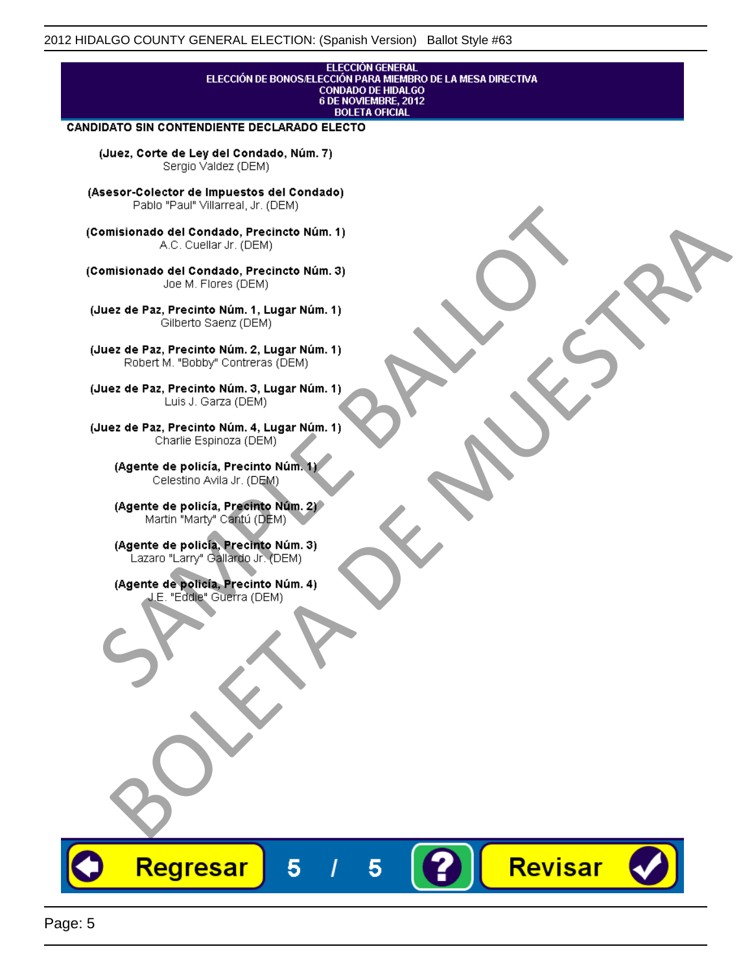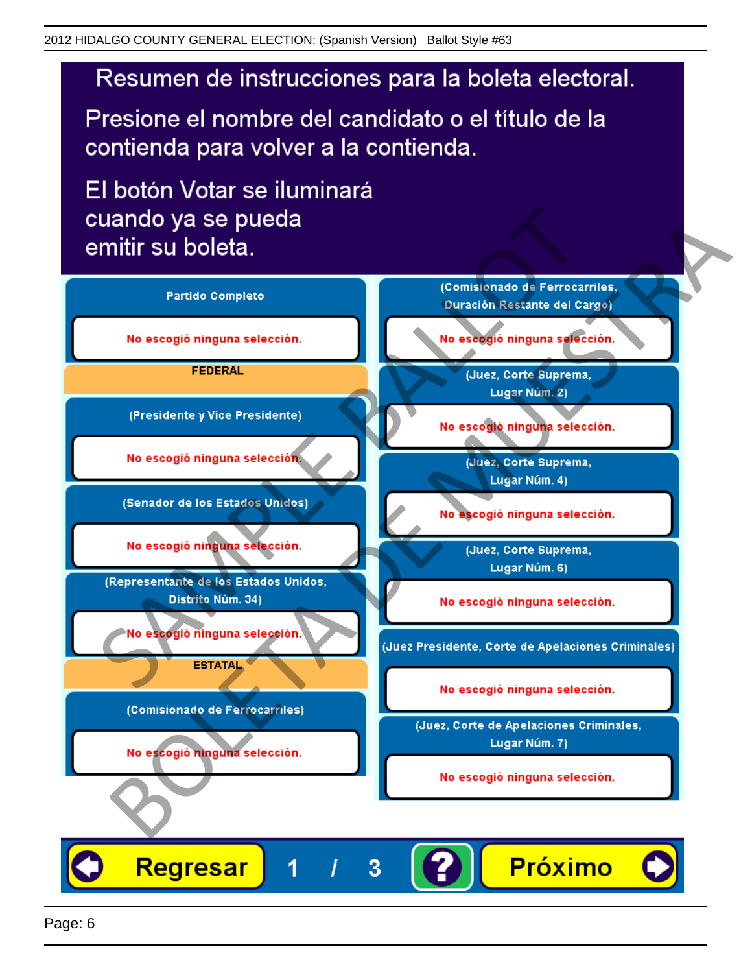# Resumen de instrucciones para la boleta electoral.

Presione el nombre del candidato o el título de la contienda para volver a la contienda.

El botón Votar se iluminará

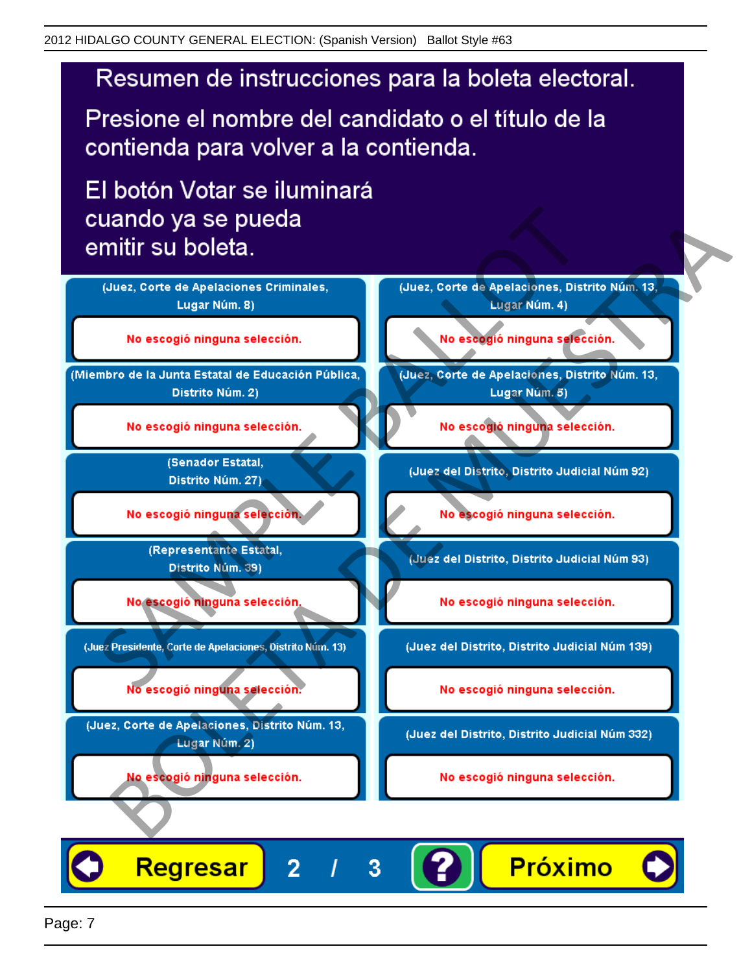# Resumen de instrucciones para la boleta electoral.

Presione el nombre del candidato o el título de la contienda para volver a la contienda.

El botón Votar se iluminará